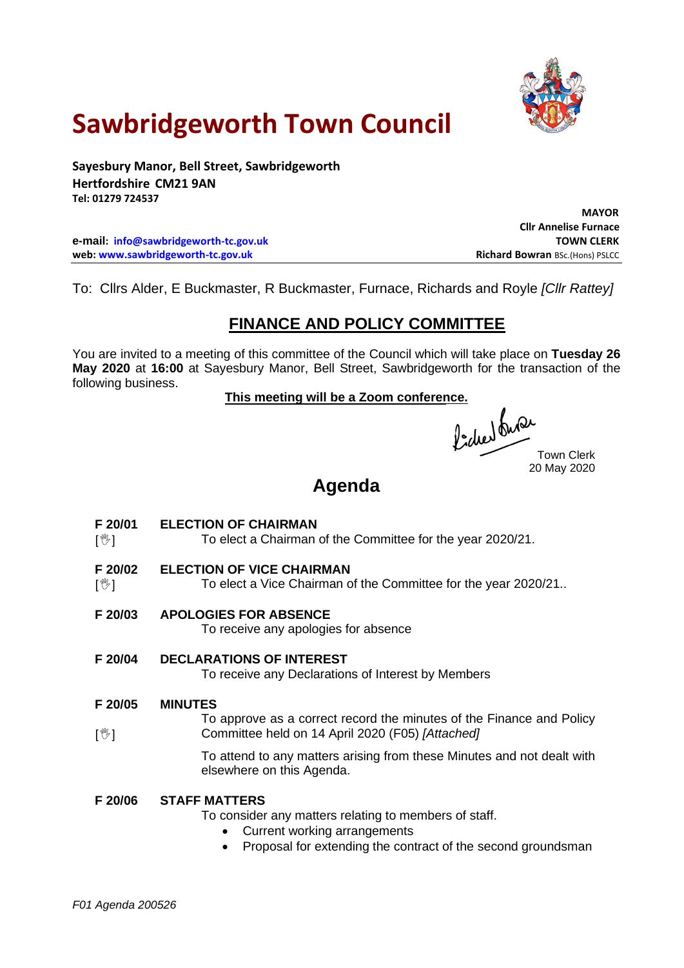

# **Sawbridgeworth Town Council**

**Sayesbury Manor, Bell Street, Sawbridgeworth Hertfordshire CM21 9AN Tel: 01279 724537**

**e-mail: [info@sawbridgeworth-tc.gov.uk](mailto:info@sawbridgeworth-tc.gov.uk) TOWN CLERK web: www.sawbridgeworth-tc.gov.uk Richard Bowran BSc.(Hons) PSLCC Richard Bowran BSc.(Hons) PSLCC** 

 **MAYOR Cllr Annelise Furnace**

To: Cllrs Alder, E Buckmaster, R Buckmaster, Furnace, Richards and Royle *[Cllr Rattey]*

### **FINANCE AND POLICY COMMITTEE**

You are invited to a meeting of this committee of the Council which will take place on **Tuesday 26 May 2020** at **16:00** at Sayesbury Manor, Bell Street, Sawbridgeworth for the transaction of the following business.

This meeting will be a Zoom conference.<br>((a)  $\int_{\mathbb{R}^2}$  (d)  $\int_{\mathbb{R}^2}$ 

Town Clerk 20 May 2020

## **Agenda**

- **F 20/01 ELECTION OF CHAIRMAN**
- $\mathbb{I}^{\mathbb{W}}$ To elect a Chairman of the Committee for the year 2020/21.
- **F 20/02 ELECTION OF VICE CHAIRMAN**
- $\mathbb{I}^{\mathbb{W}}$ To elect a Vice Chairman of the Committee for the year 2020/21..
- **F 20/03 APOLOGIES FOR ABSENCE**

To receive any apologies for absence

#### **F 20/04 DECLARATIONS OF INTEREST**

To receive any Declarations of Interest by Members

#### **F 20/05 MINUTES**

 $\sqrt{2}$ To approve as a correct record the minutes of the Finance and Policy Committee held on 14 April 2020 (F05) *[Attached]*

> To attend to any matters arising from these Minutes and not dealt with elsewhere on this Agenda.

#### **F 20/06 STAFF MATTERS**

To consider any matters relating to members of staff.

- Current working arrangements
- Proposal for extending the contract of the second groundsman